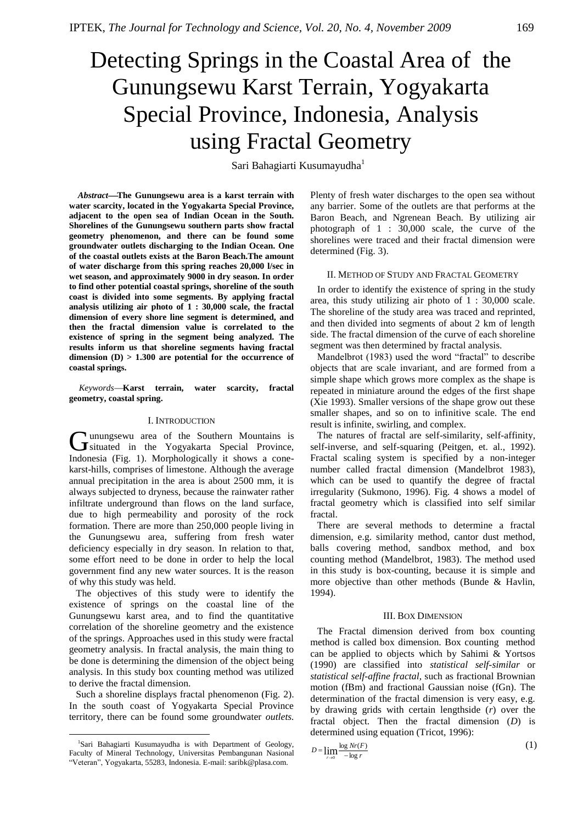# Detecting Springs in the Coastal Area of the Gunungsewu Karst Terrain, Yogyakarta Special Province, Indonesia, Analysis using Fractal Geometry

Sari Bahagiarti Kusumayudha<sup>1</sup>

*Abstract***The Gunungsewu area is a karst terrain with water scarcity, located in the Yogyakarta Special Province, adjacent to the open sea of Indian Ocean in the South. Shorelines of the Gunungsewu southern parts show fractal geometry phenomenon, and there can be found some groundwater outlets discharging to the Indian Ocean. One of the coastal outlets exists at the Baron Beach.The amount of water discharge from this spring reaches 20,000 l/sec in wet season, and approximately 9000 in dry season. In order to find other potential coastal springs, shoreline of the south coast is divided into some segments. By applying fractal analysis utilizing air photo of 1 : 30,000 scale, the fractal dimension of every shore line segment is determined, and then the fractal dimension value is correlated to the existence of spring in the segment being analyzed. The results inform us that shoreline segments having fractal dimension (D) > 1.300 are potential for the occurrence of coastal springs.**

*Keywords***Karst terrain, water scarcity, fractal geometry, coastal spring.**

#### I. INTRODUCTION

unungsewu area of the Southern Mountains is Gunungsewu area of the Southern Mountains is<br>
Special Province, Indonesia (Fig. 1). Morphologically it shows a conekarst-hills, comprises of limestone. Although the average annual precipitation in the area is about 2500 mm, it is always subjected to dryness, because the rainwater rather infiltrate underground than flows on the land surface, due to high permeability and porosity of the rock formation. There are more than 250,000 people living in the Gunungsewu area, suffering from fresh water deficiency especially in dry season. In relation to that, some effort need to be done in order to help the local government find any new water sources. It is the reason of why this study was held.

The objectives of this study were to identify the existence of springs on the coastal line of the Gunungsewu karst area, and to find the quantitative correlation of the shoreline geometry and the existence of the springs. Approaches used in this study were fractal geometry analysis. In fractal analysis, the main thing to be done is determining the dimension of the object being analysis. In this study box counting method was utilized to derive the fractal dimension.

Such a shoreline displays fractal phenomenon (Fig. 2). In the south coast of Yogyakarta Special Province territory, there can be found some groundwater *outlets.*

 $\overline{a}$ 

Plenty of fresh water discharges to the open sea without any barrier. Some of the outlets are that performs at the Baron Beach, and Ngrenean Beach. By utilizing air photograph of 1 : 30,000 scale, the curve of the shorelines were traced and their fractal dimension were determined (Fig. 3).

#### II. METHOD OF STUDY AND FRACTAL GEOMETRY

In order to identify the existence of spring in the study area, this study utilizing air photo of 1 : 30,000 scale. The shoreline of the study area was traced and reprinted, and then divided into segments of about 2 km of length side. The fractal dimension of the curve of each shoreline segment was then determined by fractal analysis.

Mandelbrot (1983) used the word "fractal" to describe objects that are scale invariant, and are formed from a simple shape which grows more complex as the shape is repeated in miniature around the edges of the first shape (Xie 1993). Smaller versions of the shape grow out these smaller shapes, and so on to infinitive scale. The end result is infinite, swirling, and complex.

The natures of fractal are self-similarity, self-affinity, self-inverse, and self-squaring (Peitgen, et. al., 1992). Fractal scaling system is specified by a non-integer number called fractal dimension (Mandelbrot 1983), which can be used to quantify the degree of fractal irregularity (Sukmono, 1996). Fig. 4 shows a model of fractal geometry which is classified into self similar fractal.

There are several methods to determine a fractal dimension, e.g. similarity method, cantor dust method, balls covering method, sandbox method, and box counting method (Mandelbrot, 1983). The method used in this study is box-counting, because it is simple and more objective than other methods (Bunde & Havlin, 1994).

#### III. BOX DIMENSION

The Fractal dimension derived from box counting method is called box dimension. Box counting method can be applied to objects which by Sahimi & Yortsos (1990) are classified into *statistical self-similar* or *statistical self-affine fractal,* such as fractional Brownian motion (fBm) and fractional Gaussian noise (fGn). The determination of the fractal dimension is very easy, e.g. by drawing grids with certain lengthside (*r*) over the fractal object. Then the fractal dimension (*D*) is determined using equation (Tricot, 1996):

$$
D = \lim_{r \to 0} \frac{\log Nr(F)}{-\log r} \tag{1}
$$

<sup>&</sup>lt;sup>1</sup>Sari Bahagiarti Kusumayudha is with Department of Geology, Faculty of Mineral Technology, Universitas Pembangunan Nasional ―Veteran‖, Yogyakarta, 55283, Indonesia. E-mail[: saribk@plasa.com.](mailto:saribk@plasa.com)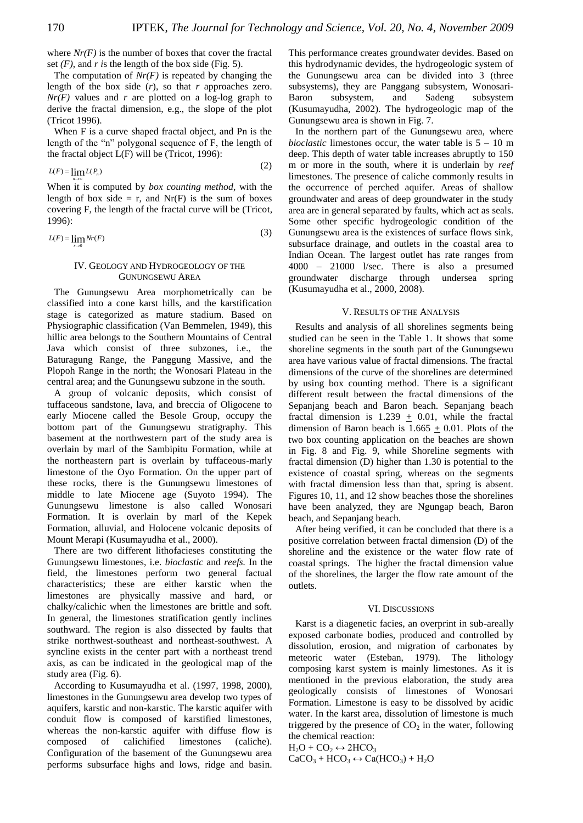*n*

 $\rightarrow \infty$ 

*r* 0

where  $Nr(F)$  is the number of boxes that cover the fractal set  $(F)$ , and  $r$  *i*s the length of the box side (Fig. 5).

The computation of *Nr(F)* is repeated by changing the length of the box side (*r*), so that *r* approaches zero. *Nr(F)* values and *r* are plotted on a log-log graph to derive the fractal dimension, e.g., the slope of the plot (Tricot 1996).

When F is a curve shaped fractal object, and Pn is the length of the "n" polygonal sequence of F, the length of the fractal object L(F) will be (Tricot, 1996):  $(2)$ 

$$
L(F) = \lim_{h \to 0} L(P_n) \tag{2}
$$

When it is computed by *box counting method*, with the length of box side = r, and  $Nr(F)$  is the sum of boxes covering F, the length of the fractal curve will be (Tricot, 1996):

$$
L(F) = \lim_{h \to 0} Nr(F) \tag{3}
$$

#### IV. GEOLOGY AND HYDROGEOLOGY OF THE GUNUNGSEWU AREA

The Gunungsewu Area morphometrically can be classified into a cone karst hills, and the karstification stage is categorized as mature stadium. Based on Physiographic classification (Van Bemmelen, 1949), this hillic area belongs to the Southern Mountains of Central Java which consist of three subzones, i.e., the Baturagung Range, the Panggung Massive, and the Plopoh Range in the north; the Wonosari Plateau in the central area; and the Gunungsewu subzone in the south.

A group of volcanic deposits, which consist of tuffaceous sandstone, lava, and breccia of Oligocene to early Miocene called the Besole Group, occupy the bottom part of the Gunungsewu stratigraphy. This basement at the northwestern part of the study area is overlain by marl of the Sambipitu Formation, while at the northeastern part is overlain by tuffaceous-marly limestone of the Oyo Formation. On the upper part of these rocks, there is the Gunungsewu limestones of middle to late Miocene age (Suyoto 1994). The Gunungsewu limestone is also called Wonosari Formation. It is overlain by marl of the Kepek Formation, alluvial, and Holocene volcanic deposits of Mount Merapi (Kusumayudha et al., 2000).

There are two different lithofacieses constituting the Gunungsewu limestones, i.e. *bioclastic* and *reefs.* In the field, the limestones perform two general factual characteristics; these are either karstic when the limestones are physically massive and hard, or chalky/calichic when the limestones are brittle and soft. In general, the limestones stratification gently inclines southward. The region is also dissected by faults that strike northwest-southeast and northeast-southwest. A syncline exists in the center part with a northeast trend axis, as can be indicated in the geological map of the study area (Fig. 6).

According to Kusumayudha et al. (1997, 1998, 2000), limestones in the Gunungsewu area develop two types of aquifers, karstic and non-karstic. The karstic aquifer with conduit flow is composed of karstified limestones, whereas the non-karstic aquifer with diffuse flow is composed of calichified limestones (caliche). Configuration of the basement of the Gunungsewu area performs subsurface highs and lows, ridge and basin.

This performance creates groundwater devides. Based on this hydrodynamic devides, the hydrogeologic system of the Gunungsewu area can be divided into 3 (three subsystems), they are Panggang subsystem, Wonosari-Baron subsystem, and Sadeng subsystem (Kusumayudha, 2002). The hydrogeologic map of the Gunungsewu area is shown in Fig. 7.

In the northern part of the Gunungsewu area, where *bioclastic* limestones occur, the water table is  $5 - 10$  m deep. This depth of water table increases abruptly to 150 m or more in the south, where it is underlain by *reef* limestones. The presence of caliche commonly results in the occurrence of perched aquifer. Areas of shallow groundwater and areas of deep groundwater in the study area are in general separated by faults, which act as seals. Some other specific hydrogeologic condition of the Gunungsewu area is the existences of surface flows sink, subsurface drainage, and outlets in the coastal area to Indian Ocean. The largest outlet has rate ranges from 4000 – 21000 l/sec. There is also a presumed groundwater discharge through undersea spring (Kusumayudha et al., 2000, 2008).

#### V. RESULTS OF THE ANALYSIS

Results and analysis of all shorelines segments being studied can be seen in the Table 1. It shows that some shoreline segments in the south part of the Gunungsewu area have various value of fractal dimensions. The fractal dimensions of the curve of the shorelines are determined by using box counting method. There is a significant different result between the fractal dimensions of the Sepanjang beach and Baron beach. Sepanjang beach fractal dimension is 1.239  $\pm$  0.01, while the fractal dimension of Baron beach is 1.665  $\pm$  0.01. Plots of the two box counting application on the beaches are shown in Fig. 8 and Fig. 9, while Shoreline segments with fractal dimension (D) higher than 1.30 is potential to the existence of coastal spring, whereas on the segments with fractal dimension less than that, spring is absent. Figures 10, 11, and 12 show beaches those the shorelines have been analyzed, they are Ngungap beach, Baron beach, and Sepanjang beach.

After being verified, it can be concluded that there is a positive correlation between fractal dimension (D) of the shoreline and the existence or the water flow rate of coastal springs. The higher the fractal dimension value of the shorelines, the larger the flow rate amount of the outlets.

#### VI. DISCUSSIONS

Karst is a diagenetic facies, an overprint in sub-areally exposed carbonate bodies, produced and controlled by dissolution, erosion, and migration of carbonates by meteoric water (Esteban, 1979). The lithology composing karst system is mainly limestones. As it is mentioned in the previous elaboration, the study area geologically consists of limestones of Wonosari Formation. Limestone is easy to be dissolved by acidic water. In the karst area, dissolution of limestone is much triggered by the presence of  $CO<sub>2</sub>$  in the water, following the chemical reaction:

 $H_2O + CO_2 \leftrightarrow 2HCO_3$  $CaCO<sub>3</sub> + HCO<sub>3</sub> \leftrightarrow Ca(HCO<sub>3</sub>) + H<sub>2</sub>O$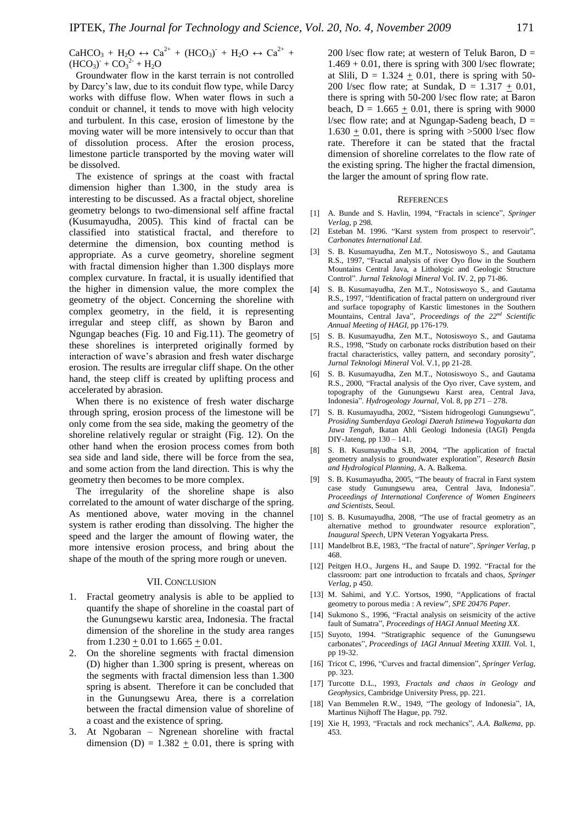$CaHCO<sub>3</sub> + H<sub>2</sub>O \leftrightarrow Ca<sup>2+</sup> + (HCO<sub>3</sub>) + H<sub>2</sub>O \leftrightarrow Ca<sup>2+</sup> +$  $(HCO_3) + CO_3^2 + H_2O$ 

Groundwater flow in the karst terrain is not controlled by Darcy's law, due to its conduit flow type, while Darcy works with diffuse flow. When water flows in such a conduit or channel, it tends to move with high velocity and turbulent. In this case, erosion of limestone by the moving water will be more intensively to occur than that of dissolution process. After the erosion process, limestone particle transported by the moving water will be dissolved.

The existence of springs at the coast with fractal dimension higher than 1.300, in the study area is interesting to be discussed. As a fractal object, shoreline geometry belongs to two-dimensional self affine fractal (Kusumayudha, 2005). This kind of fractal can be classified into statistical fractal, and therefore to determine the dimension, box counting method is appropriate. As a curve geometry, shoreline segment with fractal dimension higher than 1.300 displays more complex curvature. In fractal, it is usually identified that the higher in dimension value, the more complex the geometry of the object. Concerning the shoreline with complex geometry, in the field, it is representing irregular and steep cliff, as shown by Baron and Ngungap beaches (Fig. 10 and Fig.11). The geometry of these shorelines is interpreted originally formed by interaction of wave's abrasion and fresh water discharge erosion. The results are irregular cliff shape. On the other hand, the steep cliff is created by uplifting process and accelerated by abrasion.

When there is no existence of fresh water discharge through spring, erosion process of the limestone will be only come from the sea side, making the geometry of the shoreline relatively regular or straight (Fig. 12). On the other hand when the erosion process comes from both sea side and land side, there will be force from the sea, and some action from the land direction. This is why the geometry then becomes to be more complex.

The irregularity of the shoreline shape is also correlated to the amount of water discharge of the spring. As mentioned above, water moving in the channel system is rather eroding than dissolving. The higher the speed and the larger the amount of flowing water, the more intensive erosion process, and bring about the shape of the mouth of the spring more rough or uneven.

### VII. CONCLUSION

- 1. Fractal geometry analysis is able to be applied to quantify the shape of shoreline in the coastal part of the Gunungsewu karstic area, Indonesia. The fractal dimension of the shoreline in the study area ranges from  $1.230 \pm 0.01$  to  $1.665 \pm 0.01$ .
- 2. On the shoreline segments with fractal dimension (D) higher than 1.300 spring is present, whereas on the segments with fractal dimension less than 1.300 spring is absent. Therefore it can be concluded that in the Gunungsewu Area, there is a correlation between the fractal dimension value of shoreline of a coast and the existence of spring.
- 3. At Ngobaran Ngrenean shoreline with fractal dimension (D) =  $1.382 \pm 0.01$ , there is spring with

200 l/sec flow rate; at western of Teluk Baron,  $D =$  $1.469 + 0.01$ , there is spring with 300 l/sec flowrate; at Slili,  $D = 1.324 + 0.01$ , there is spring with 50-200 l/sec flow rate; at Sundak,  $D = 1.317 + 0.01$ , there is spring with 50-200 l/sec flow rate; at Baron beach,  $D = 1.665 + 0.01$ , there is spring with 9000 l/sec flow rate; and at Ngungap-Sadeng beach,  $D =$  $1.630 + 0.01$ , there is spring with  $>5000$  l/sec flow rate. Therefore it can be stated that the fractal dimension of shoreline correlates to the flow rate of the existing spring. The higher the fractal dimension, the larger the amount of spring flow rate.

#### **REFERENCES**

- [1] A. Bunde and S. Havlin, 1994, "Fractals in science", Springer *Verlag,* p 298.
- [2] Esteban M. 1996. "Karst system from prospect to reservoir", *Carbonates International Ltd.*
- [3] S. B. Kusumayudha, Zen M.T., Notosiswoyo S., and Gautama R.S., 1997, "Fractal analysis of river Oyo flow in the Southern Mountains Central Java, a Lithologic and Geologic Structure Control‖. *Jurnal Teknologi Mineral* Vol. IV. 2, pp 71-86.
- [4] S. B. Kusumayudha, Zen M.T., Notosiswoyo S., and Gautama R.S., 1997, "Identification of fractal pattern on underground river and surface topography of Karstic limestones in the Southern Mountains, Central Java‖, *Proceedings of the 22nd Scientific Annual Meeting of HAGI,* pp 176-179.
- [5] S. B. Kusumayudha, Zen M.T., Notosiswoyo S., and Gautama R.S., 1998, "Study on carbonate rocks distribution based on their fractal characteristics, valley pattern, and secondary porosity", *Jurnal Teknologi Mineral* Vol. V.1, pp 21-28.
- [6] S. B. Kusumayudha, Zen M.T., Notosiswoyo S., and Gautama R.S., 2000, "Fractal analysis of the Oyo river, Cave system, and topography of the Gunungsewu Karst area, Central Java, Indonesia‖. *Hydrogeology Journal,* Vol. 8, pp 271 – 278.
- [7] S. B. Kusumayudha, 2002, "Sistem hidrogeologi Gunungsewu", *Prosiding Sumberdaya Geologi Daerah Istimewa Yogyakarta dan Jawa Tengah,* Ikatan Ahli Geologi Indonesia (IAGI) Pengda DIY-Jateng, pp 130 – 141.
- [8] S. B. Kusumayudha S.B, 2004, "The application of fractal geometry analysis to groundwater exploration", *Research Basin and Hydrological Planning,* A. A. Balkema.
- [9] S. B. Kusumayudha, 2005, "The beauty of fracral in Farst system case study Gunungsewu area, Central Java, Indonesia". *Proceedings of International Conference of Women Engineers and Scientists*, Seoul.
- [10] S. B. Kusumayudha, 2008, "The use of fractal geometry as an alternative method to groundwater resource exploration", *Inaugural Speech*, UPN Veteran Yogyakarta Press.
- [11] Mandelbrot B.E, 1983, "The fractal of nature", *Springer Verlag*, p 468.
- [12] Peitgen H.O., Jurgens H., and Saupe D. 1992. "Fractal for the classroom: part one introduction to frcatals and chaos, *Springer Verlag,* p 450.
- [13] M. Sahimi, and Y.C. Yortsos, 1990, "Applications of fractal geometry to porous media : A review", SPE 20476 Paper.
- [14] Sukmono S., 1996, "Fractal analysis on seismicity of the active fault of Sumatra", Proceedings of HAGI Annual Meeting XX.
- [15] Suyoto, 1994. "Stratigraphic sequence of the Gunungsewu carbonates‖, *Proceedings of IAGI Annual Meeting XXIII.* Vol. 1, pp 19-32.
- [16] Tricot C, 1996, "Curves and fractal dimension", *Springer Verlag,* pp. 323.
- [17] Turcotte D.L., 1993, *Fractals and chaos in Geology and Geophysics,* Cambridge University Press, pp. 221.
- [18] Van Bemmelen R.W., 1949, "The geology of Indonesia", IA, Martinus Nijhoff The Hague, pp. 792.
- [19] Xie H, 1993, "Fractals and rock mechanics", A.A. Balkema, pp. 453.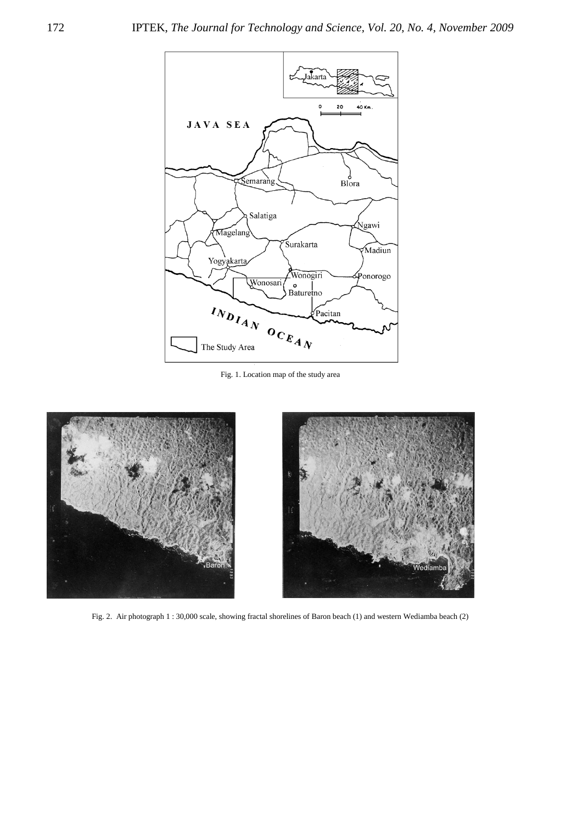

Fig. 1. Location map of the study area



Fig. 2. Air photograph 1 : 30,000 scale, showing fractal shorelines of Baron beach (1) and western Wediamba beach (2)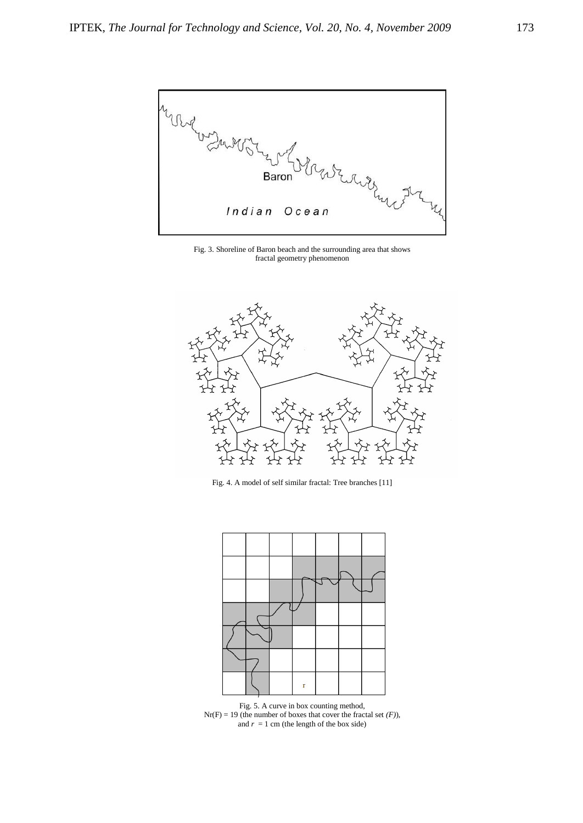

Fig. 3. Shoreline of Baron beach and the surrounding area that shows fractal geometry phenomenon



Fig. 4. A model of self similar fractal: Tree branches [11]



Fig. 5. A curve in box counting method,  $Nr(F) = 19$  (the number of boxes that cover the fractal set  $(F)$ ), and  $r = 1$  cm (the length of the box side)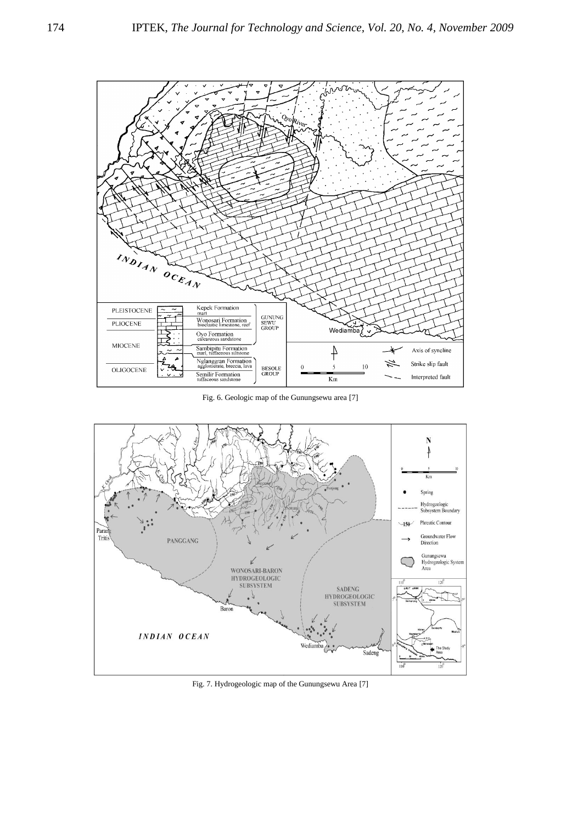

Fig. 6. Geologic map of the Gunungsewu area [7]



Fig. 7. Hydrogeologic map of the Gunungsewu Area [7]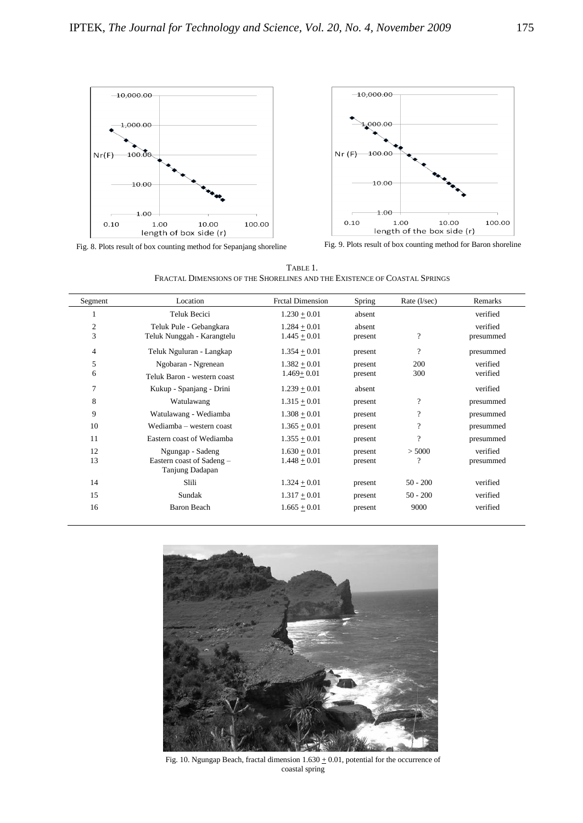



Fig. 8. Plots result of box counting method for Sepanjang shoreline Fig. 9. Plots result of box counting method for Baron shoreline

TABLE 1. FRACTAL DIMENSIONS OF THE SHORELINES AND THE EXISTENCE OF COASTAL SPRINGS

| Segment        | Location                    | <b>Frctal Dimension</b> | Spring  | Rate $(l/sec)$           | Remarks   |
|----------------|-----------------------------|-------------------------|---------|--------------------------|-----------|
| 1              | Teluk Becici                | $1.230 + 0.01$          | absent  |                          | verified  |
| 2              | Teluk Pule - Gebangkara     | $1.284 + 0.01$          | absent  |                          | verified  |
| 3              | Teluk Nunggah - Karangtelu  | $1.445 + 0.01$          | present | $\overline{\cdot}$       | presummed |
| $\overline{4}$ | Teluk Nguluran - Langkap    | $1.354 + 0.01$          | present | $\overline{\mathcal{L}}$ | presummed |
| 5              | Ngobaran - Ngrenean         | $1.382 + 0.01$          | present | 200                      | verified  |
| 6              | Teluk Baron - western coast | $1.469 + 0.01$          | present | 300                      | verified  |
| 7              | Kukup - Spanjang - Drini    | $1.239 + 0.01$          | absent  |                          | verified  |
| 8              | Watulawang                  | $1.315 + 0.01$          | present | $\overline{\cdot}$       | presummed |
| 9              | Watulawang - Wediamba       | $1.308 + 0.01$          | present | $\overline{\phantom{a}}$ | presummed |
| 10             | Wediamba – western coast    | $1.365 + 0.01$          | present | $\overline{\cdot}$       | presummed |
| 11             | Eastern coast of Wediamba   | $1.355 + 0.01$          | present | $\gamma$                 | presummed |
| 12             | Ngungap - Sadeng            | $1.630 + 0.01$          | present | > 5000                   | verified  |
| 13             | Eastern coast of Sadeng –   | $1.448 + 0.01$          | present | ?                        | presummed |
|                | Tanjung Dadapan             |                         |         |                          |           |
| 14             | Slili                       | $1.324 + 0.01$          | present | $50 - 200$               | verified  |
| 15             | Sundak                      | $1.317 + 0.01$          | present | $50 - 200$               | verified  |
| 16             | Baron Beach                 | $1.665 + 0.01$          | present | 9000                     | verified  |
|                |                             |                         |         |                          |           |



Fig. 10. Ngungap Beach, fractal dimension  $1.630 \pm 0.01$ , potential for the occurrence of coastal spring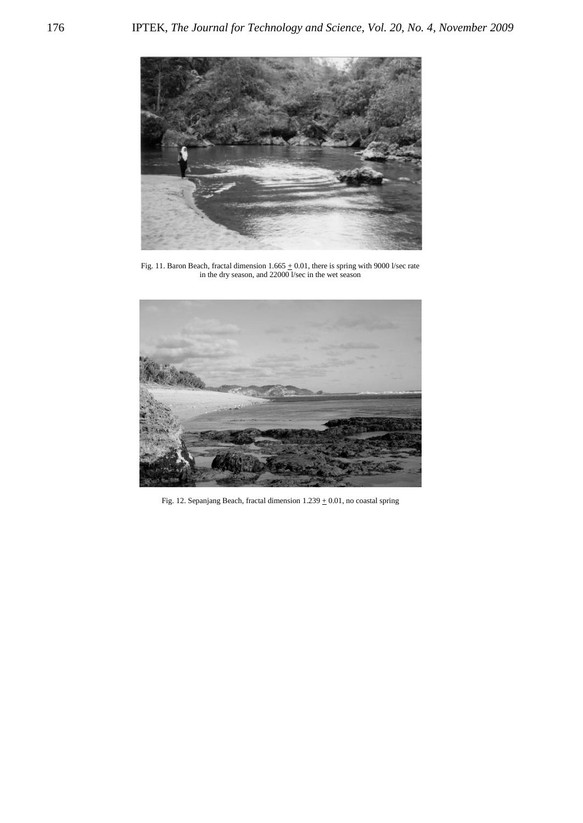

Fig. 11. Baron Beach, fractal dimension  $1.665 \pm 0.01$ , there is spring with 9000 l/sec rate in the dry season, and 22000 l/sec in the wet season



Fig. 12. Sepanjang Beach, fractal dimension 1.239  $\pm$  0.01, no coastal spring